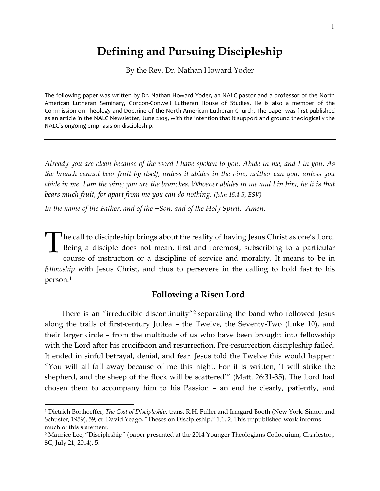# **Defining and Pursuing Discipleship**

By the Rev. Dr. Nathan Howard Yoder

The following paper was written by Dr. Nathan Howard Yoder, an NALC pastor and a professor of the North American Lutheran Seminary, Gordon-Conwell Lutheran House of Studies. He is also a member of the Commission on Theology and Doctrine of the North American Lutheran Church. The paper was first published as an article in the NALC Newsletter, June 2105, with the intention that it support and ground theologically the NALC's ongoing emphasis on discipleship.

*Already you are clean because of the word I have spoken to you. Abide in me, and I in you. As the branch cannot bear fruit by itself, unless it abides in the vine, neither can you, unless you abide in me. I am the vine; you are the branches. Whoever abides in me and I in him, he it is that bears much fruit, for apart from me you can do nothing. (John 15:4-5, ESV)*

*In the name of the Father, and of the +Son, and of the Holy Spirit. Amen.*

he call to discipleship brings about the reality of having Jesus Christ as one's Lord. Being a disciple does not mean, first and foremost, subscribing to a particular course of instruction or a discipline of service and morality. It means to be in *fellowship* with Jesus Christ, and thus to persevere in the calling to hold fast to his person.[1](#page-0-0) T

## **Following a Risen Lord**

There is an "irreducible discontinuity"[2](#page-0-1) separating the band who followed Jesus along the trails of first-century Judea – the Twelve, the Seventy-Two (Luke 10), and their larger circle – from the multitude of us who have been brought into fellowship with the Lord after his crucifixion and resurrection. Pre-resurrection discipleship failed. It ended in sinful betrayal, denial, and fear. Jesus told the Twelve this would happen: "You will all fall away because of me this night. For it is written, 'I will strike the shepherd, and the sheep of the flock will be scattered'" (Matt. 26:31-35). The Lord had chosen them to accompany him to his Passion – an end he clearly, patiently, and

<span id="page-0-0"></span><sup>1</sup> Dietrich Bonhoeffer, *The Cost of Discipleship*, trans. R.H. Fuller and Irmgard Booth (New York: Simon and Schuster, 1959), 59; cf. David Yeago, "Theses on Discipleship," 1.1, 2. This unpublished work informs much of this statement.

<span id="page-0-1"></span><sup>2</sup> Maurice Lee, "Discipleship" (paper presented at the 2014 Younger Theologians Colloquium, Charleston, SC, July 21, 2014), 5.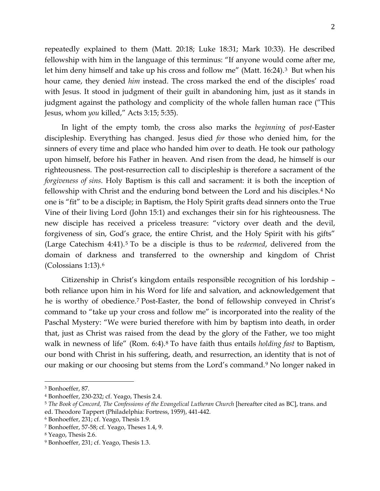repeatedly explained to them (Matt. 20:18; Luke 18:31; Mark 10:33). He described fellowship with him in the language of this terminus: "If anyone would come after me, let him deny himself and take up his cross and follow me" (Matt. 16:24).<sup>[3](#page-1-0)</sup> But when his hour came, they denied *him* instead. The cross marked the end of the disciples' road with Jesus. It stood in judgment of their guilt in abandoning him, just as it stands in judgment against the pathology and complicity of the whole fallen human race ("This Jesus, whom *you* killed," Acts 3:15; 5:35).

In light of the empty tomb, the cross also marks the *beginning* of *post*-Easter discipleship. Everything has changed. Jesus died *for* those who denied him, for the sinners of every time and place who handed him over to death. He took our pathology upon himself, before his Father in heaven. And risen from the dead, he himself is our righteousness. The post-resurrection call to discipleship is therefore a sacrament of the *forgiveness of sins*. Holy Baptism is this call and sacrament: it is both the inception of fellowship with Christ and the enduring bond between the Lord and his disciples.[4](#page-1-1) No one is "fit" to be a disciple; in Baptism, the Holy Spirit grafts dead sinners onto the True Vine of their living Lord (John 15:1) and exchanges their sin for his righteousness. The new disciple has received a priceless treasure: "victory over death and the devil, forgiveness of sin, God's grace, the entire Christ, and the Holy Spirit with his gifts" (Large Catechism 4:41).[5](#page-1-2) To be a disciple is thus to be *redeemed*, delivered from the domain of darkness and transferred to the ownership and kingdom of Christ (Colossians 1:13).[6](#page-1-3)

Citizenship in Christ's kingdom entails responsible recognition of his lordship – both reliance upon him in his Word for life and salvation, and acknowledgement that he is worthy of obedience.[7](#page-1-4) Post-Easter, the bond of fellowship conveyed in Christ's command to "take up your cross and follow me" is incorporated into the reality of the Paschal Mystery: "We were buried therefore with him by baptism into death, in order that, just as Christ was raised from the dead by the glory of the Father, we too might walk in newness of life" (Rom. 6:4).[8](#page-1-5) To have faith thus entails *holding fast* to Baptism, our bond with Christ in his suffering, death, and resurrection, an identity that is not of our making or our choosing but stems from the Lord's command.[9](#page-1-6) No longer naked in

<span id="page-1-0"></span><sup>3</sup> Bonhoeffer, 87.

<span id="page-1-1"></span><sup>4</sup> Bonhoeffer, 230-232; cf. Yeago, Thesis 2.4.

<span id="page-1-2"></span><sup>5</sup> *The Book of Concord, The Confessions of the Evangelical Lutheran Church* [hereafter cited as BC], trans. and ed. Theodore Tappert (Philadelphia: Fortress, 1959), 441-442.

<span id="page-1-3"></span><sup>6</sup> Bonhoeffer, 231; cf. Yeago, Thesis 1.9.

<span id="page-1-4"></span><sup>7</sup> Bonhoeffer, 57-58; cf. Yeago, Theses 1.4, 9.

<span id="page-1-5"></span><sup>8</sup> Yeago, Thesis 2.6.

<span id="page-1-6"></span><sup>9</sup> Bonhoeffer, 231; cf. Yeago, Thesis 1.3.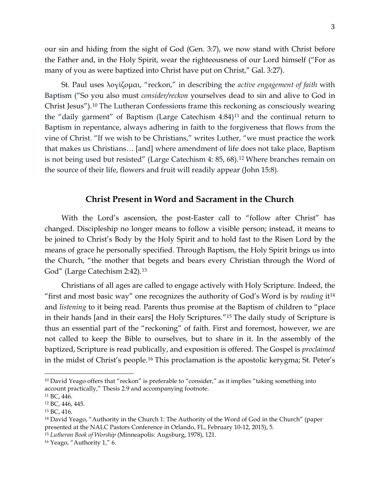our sin and hiding from the sight of God (Gen. 3:7), we now stand with Christ before the Father and, in the Holy Spirit, wear the righteousness of our Lord himself ("For as many of you as were baptized into Christ have put on Christ," Gal. 3:27).

St. Paul uses λογίζομαι, "reckon," in describing the *active engagement of faith* with Baptism ("So you also must *consider/reckon* yourselves dead to sin and alive to God in Christ Jesus").[10](#page-2-0) The Lutheran Confessions frame this reckoning as consciously wearing the "daily garment" of Baptism (Large Catechism 4:84)[11](#page-2-1) and the continual return to Baptism in repentance, always adhering in faith to the forgiveness that flows from the vine of Christ. "If we wish to be Christians," writes Luther, "we must practice the work that makes us Christians… [and] where amendment of life does not take place, Baptism is not being used but resisted" (Large Catechism 4: 85, 68).[12](#page-2-2) Where branches remain on the source of their life, flowers and fruit will readily appear (John 15:8).

#### **Christ Present in Word and Sacrament in the Church**

With the Lord's ascension, the post-Easter call to "follow after Christ" has changed. Discipleship no longer means to follow a visible person; instead, it means to be joined to Christ's Body by the Holy Spirit and to hold fast to the Risen Lord by the means of grace he personally specified. Through Baptism, the Holy Spirit brings us into the Church, "the mother that begets and bears every Christian through the Word of God" (Large Catechism 2:42).[13](#page-2-3)

Christians of all ages are called to engage actively with Holy Scripture. Indeed, the "first and most basic way" one recognizes the authority of God's Word is by *reading* it[14](#page-2-4) and *listening* to it being read. Parents thus promise at the Baptism of children to "place in their hands [and in their ears] the Holy Scriptures."[15](#page-2-5) The daily study of Scripture is thus an essential part of the "reckoning" of faith. First and foremost, however, we are not called to keep the Bible to ourselves, but to share in it. In the assembly of the baptized, Scripture is read publically, and exposition is offered. The Gospel is *proclaimed*  in the midst of Christ's people.[16](#page-2-6) This proclamation is the apostolic kerygma; St. Peter's

<span id="page-2-0"></span><sup>&</sup>lt;sup>10</sup> David Yeago offers that "reckon" is preferable to "consider," as it implies "taking something into account practically," Thesis 2.9 and accompanying footnote.

<span id="page-2-1"></span><sup>11</sup> BC, 446.

<span id="page-2-2"></span><sup>12</sup> BC, 446, 445.

<span id="page-2-3"></span><sup>13</sup> BC, 416.

<span id="page-2-4"></span><sup>&</sup>lt;sup>14</sup> David Yeago, "Authority in the Church 1: The Authority of the Word of God in the Church" (paper presented at the NALC Pastors Conference in Orlando, FL, February 10-12, 2015), 5.

<span id="page-2-5"></span><sup>15</sup> *Lutheran Book of Worship* (Minneapolis: Augsburg, 1978), 121.

<span id="page-2-6"></span><sup>16</sup> Yeago, "Authority 1," 6.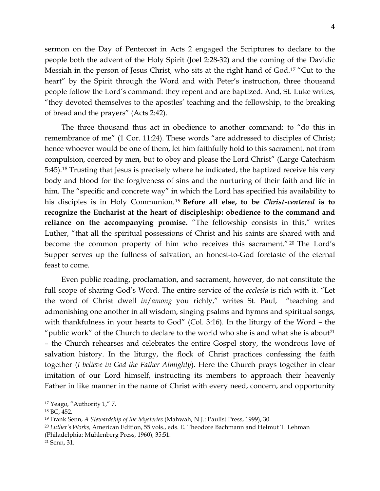sermon on the Day of Pentecost in Acts 2 engaged the Scriptures to declare to the people both the advent of the Holy Spirit (Joel 2:28-32) and the coming of the Davidic Messiah in the person of Jesus Christ, who sits at the right hand of God.[17](#page-3-0) "Cut to the heart" by the Spirit through the Word and with Peter's instruction, three thousand people follow the Lord's command: they repent and are baptized. And, St. Luke writes, "they devoted themselves to the apostles' teaching and the fellowship, to the breaking of bread and the prayers" (Acts 2:42).

The three thousand thus act in obedience to another command: to "do this in remembrance of me" (1 Cor. 11:24). These words "are addressed to disciples of Christ; hence whoever would be one of them, let him faithfully hold to this sacrament, not from compulsion, coerced by men, but to obey and please the Lord Christ" (Large Catechism 5:45).[18](#page-3-1) Trusting that Jesus is precisely where he indicated, the baptized receive his very body and blood for the forgiveness of sins and the nurturing of their faith and life in him. The "specific and concrete way" in which the Lord has specified his availability to his disciples is in Holy Communion. [19](#page-3-2) **Before all else, to be** *Christ-centered* **is to recognize the Eucharist at the heart of discipleship: obedience to the command and reliance on the accompanying promise.** "The fellowship consists in this," writes Luther, "that all the spiritual possessions of Christ and his saints are shared with and become the common property of him who receives this sacrament." [20](#page-3-3) The Lord's Supper serves up the fullness of salvation, an honest-to-God foretaste of the eternal feast to come.

Even public reading, proclamation, and sacrament, however, do not constitute the full scope of sharing God's Word. The entire service of the *ecclesia* is rich with it. "Let the word of Christ dwell *in*/*among* you richly," writes St. Paul, "teaching and admonishing one another in all wisdom, singing psalms and hymns and spiritual songs, with thankfulness in your hearts to God" (Col. 3:16). In the liturgy of the Word – the "public work" of the Church to declare to the world who she is and what she is about<sup>[21](#page-3-4)</sup> – the Church rehearses and celebrates the entire Gospel story, the wondrous love of salvation history. In the liturgy, the flock of Christ practices confessing the faith together (*I believe in God the Father Almighty*). Here the Church prays together in clear imitation of our Lord himself, instructing its members to approach their heavenly Father in like manner in the name of Christ with every need, concern, and opportunity

<span id="page-3-0"></span><sup>17</sup> Yeago, "Authority 1," 7.

<span id="page-3-1"></span><sup>18</sup> BC, 452.

<span id="page-3-2"></span><sup>19</sup> Frank Senn, *A Stewardship of the Mysteries* (Mahwah, N.J.: Paulist Press, 1999), 30.

<span id="page-3-3"></span><sup>20</sup> *Luther's Works,* American Edition, 55 vols., eds. E. Theodore Bachmann and Helmut T. Lehman (Philadelphia: Muhlenberg Press, 1960), 35:51.

<span id="page-3-4"></span><sup>21</sup> Senn, 31.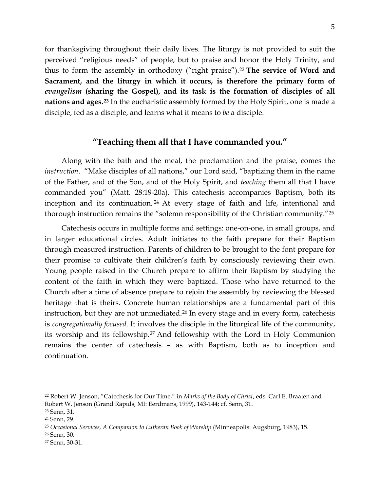for thanksgiving throughout their daily lives. The liturgy is not provided to suit the perceived "religious needs" of people, but to praise and honor the Holy Trinity, and thus to form the assembly in orthodoxy ("right praise").[22](#page-4-0) **The service of Word and Sacrament, and the liturgy in which it occurs, is therefore the primary form of**  *evangelism* **(sharing the Gospel), and its task is the formation of disciples of all nations and ages.[23](#page-4-1)** In the eucharistic assembly formed by the Holy Spirit, one is made a disciple, fed as a disciple, and learns what it means to *be* a disciple.

#### **"Teaching them all that I have commanded you."**

Along with the bath and the meal, the proclamation and the praise, comes the *instruction*. "Make disciples of all nations," our Lord said, "baptizing them in the name of the Father, and of the Son, and of the Holy Spirit, and *teaching* them all that I have commanded you" (Matt. 28:19-20a). This catechesis accompanies Baptism, both its inception and its continuation. [24](#page-4-2) At every stage of faith and life, intentional and thorough instruction remains the "solemn responsibility of the Christian community."[25](#page-4-3)

Catechesis occurs in multiple forms and settings: one-on-one, in small groups, and in larger educational circles. Adult initiates to the faith prepare for their Baptism through measured instruction. Parents of children to be brought to the font prepare for their promise to cultivate their children's faith by consciously reviewing their own. Young people raised in the Church prepare to affirm their Baptism by studying the content of the faith in which they were baptized. Those who have returned to the Church after a time of absence prepare to rejoin the assembly by reviewing the blessed heritage that is theirs. Concrete human relationships are a fundamental part of this instruction, but they are not unmediated.<sup>[26](#page-4-4)</sup> In every stage and in every form, catechesis is *congregationally focused*. It involves the disciple in the liturgical life of the community, its worship and its fellowship.[27](#page-4-5) And fellowship with the Lord in Holy Communion remains the center of catechesis – as with Baptism, both as to inception and continuation.

<span id="page-4-4"></span><sup>26</sup> Senn, 30.

<span id="page-4-0"></span><sup>22</sup> Robert W. Jenson, "Catechesis for Our Time," in *Marks of the Body of Christ*, eds. Carl E. Braaten and Robert W. Jenson (Grand Rapids, MI: Eerdmans, 1999), 143-144; cf. Senn, 31.

<span id="page-4-1"></span><sup>23</sup> Senn, 31.

<span id="page-4-2"></span><sup>24</sup> Senn, 29.

<span id="page-4-3"></span><sup>25</sup> *Occasional Services, A Companion to Lutheran Book of Worship* (Minneapolis: Augsburg, 1983), 15.

<span id="page-4-5"></span><sup>27</sup> Senn, 30-31.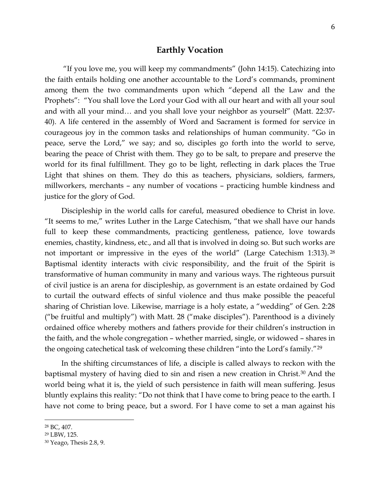### **Earthly Vocation**

"If you love me, you will keep my commandments" (John 14:15). Catechizing into the faith entails holding one another accountable to the Lord's commands, prominent among them the two commandments upon which "depend all the Law and the Prophets": "You shall love the Lord your God with all our heart and with all your soul and with all your mind… and you shall love your neighbor as yourself" (Matt. 22:37- 40). A life centered in the assembly of Word and Sacrament is formed for service in courageous joy in the common tasks and relationships of human community. "Go in peace, serve the Lord," we say; and so, disciples go forth into the world to serve, bearing the peace of Christ with them. They go to be salt, to prepare and preserve the world for its final fulfillment. They go to be light, reflecting in dark places the True Light that shines on them. They do this as teachers, physicians, soldiers, farmers, millworkers, merchants – any number of vocations – practicing humble kindness and justice for the glory of God.

Discipleship in the world calls for careful, measured obedience to Christ in love. "It seems to me," writes Luther in the Large Catechism, "that we shall have our hands full to keep these commandments, practicing gentleness, patience, love towards enemies, chastity, kindness, etc., and all that is involved in doing so. But such works are not important or impressive in the eyes of the world" (Large Catechism 1:313). [28](#page-5-0) Baptismal identity interacts with civic responsibility, and the fruit of the Spirit is transformative of human community in many and various ways. The righteous pursuit of civil justice is an arena for discipleship, as government is an estate ordained by God to curtail the outward effects of sinful violence and thus make possible the peaceful sharing of Christian love. Likewise, marriage is a holy estate, a "wedding" of Gen. 2:28 ("be fruitful and multiply") with Matt. 28 ("make disciples"). Parenthood is a divinely ordained office whereby mothers and fathers provide for their children's instruction in the faith, and the whole congregation – whether married, single, or widowed – shares in the ongoing catechetical task of welcoming these children "into the Lord's family."[29](#page-5-1)

In the shifting circumstances of life, a disciple is called always to reckon with the baptismal mystery of having died to sin and risen a new creation in Christ.[30](#page-5-2) And the world being what it is, the yield of such persistence in faith will mean suffering. Jesus bluntly explains this reality: "Do not think that I have come to bring peace to the earth. I have not come to bring peace, but a sword. For I have come to set a man against his

<span id="page-5-0"></span><sup>28</sup> BC, 407.

<span id="page-5-1"></span><sup>29</sup> LBW, 125.

<span id="page-5-2"></span><sup>30</sup> Yeago, Thesis 2.8, 9.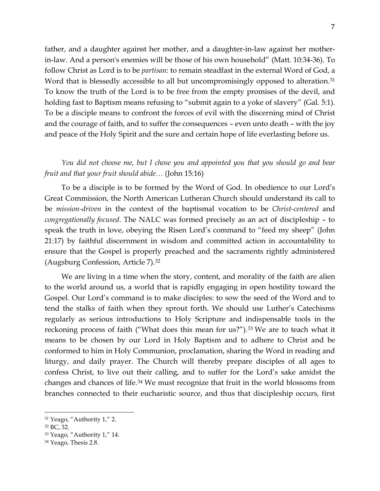father, and a daughter against her mother, and a daughter-in-law against her motherin-law. And a person's enemies will be those of his own household" (Matt. 10:34-36). To follow Christ as Lord is to be *partisan*: to remain steadfast in the external Word of God, a Word that is blessedly accessible to all but uncompromisingly opposed to alteration.<sup>[31](#page-6-0)</sup> To know the truth of the Lord is to be free from the empty promises of the devil, and holding fast to Baptism means refusing to "submit again to a yoke of slavery" (Gal. 5:1). To be a disciple means to confront the forces of evil with the discerning mind of Christ and the courage of faith, and to suffer the consequences – even unto death – with the joy and peace of the Holy Spirit and the sure and certain hope of life everlasting before us.

## *You did not choose me, but I chose you and appointed you that you should go and bear fruit and that your fruit should abide…* (John 15:16)

To be a disciple is to be formed by the Word of God. In obedience to our Lord's Great Commission, the North American Lutheran Church should understand its call to be *mission-driven* in the context of the baptismal vocation to be *Christ-centered* and *congregationally focused*. The NALC was formed precisely as an act of discipleship – to speak the truth in love, obeying the Risen Lord's command to "feed my sheep" (John 21:17) by faithful discernment in wisdom and committed action in accountability to ensure that the Gospel is properly preached and the sacraments rightly administered (Augsburg Confession, Article 7).[32](#page-6-1)

We are living in a time when the story, content, and morality of the faith are alien to the world around us, a world that is rapidly engaging in open hostility toward the Gospel. Our Lord's command is to make disciples: to sow the seed of the Word and to tend the stalks of faith when they sprout forth. We should use Luther's Catechisms regularly as serious introductions to Holy Scripture and indispensable tools in the reckoning process of faith ("What does this mean for us?").<sup>[33](#page-6-2)</sup> We are to teach what it means to be chosen by our Lord in Holy Baptism and to adhere to Christ and be conformed to him in Holy Communion, proclamation, sharing the Word in reading and liturgy, and daily prayer. The Church will thereby prepare disciples of all ages to confess Christ, to live out their calling, and to suffer for the Lord's sake amidst the changes and chances of life.[34](#page-6-3) We must recognize that fruit in the world blossoms from branches connected to their eucharistic source, and thus that discipleship occurs, first

<span id="page-6-0"></span><sup>31</sup> Yeago, "Authority 1," 2.

<span id="page-6-1"></span><sup>32</sup> BC, 32.

<span id="page-6-2"></span><sup>33</sup> Yeago, "Authority 1," 14.

<span id="page-6-3"></span><sup>34</sup> Yeago, Thesis 2.8.